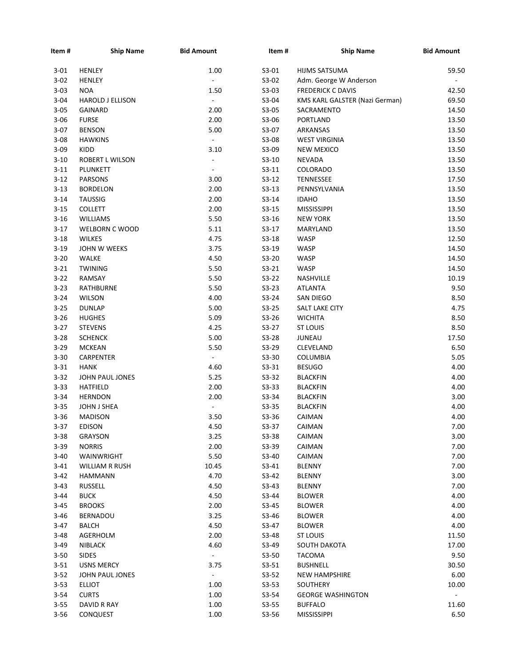| Item#                | <b>Ship Name</b>                    | <b>Bid Amount</b>        | Item#              | <b>Ship Name</b>               | <b>Bid Amount</b> |
|----------------------|-------------------------------------|--------------------------|--------------------|--------------------------------|-------------------|
| 3-01                 | <b>HENLEY</b>                       | 1.00                     | $S3-01$            | HIJMS SATSUMA                  | 59.50             |
| $3 - 02$             | <b>HENLEY</b>                       | ä,                       | S3-02              | Adm. George W Anderson         | $\sim$            |
| $3 - 03$             | <b>NOA</b>                          | 1.50                     | $S3-03$            | <b>FREDERICK C DAVIS</b>       | 42.50             |
| $3 - 04$             | <b>HAROLD J ELLISON</b>             | $\blacksquare$           | S3-04              | KMS KARL GALSTER (Nazi German) | 69.50             |
| $3 - 05$             | <b>GAINARD</b>                      | 2.00                     | S3-05              | SACRAMENTO                     | 14.50             |
| $3 - 06$             | <b>FURSE</b>                        | 2.00                     | S3-06              | <b>PORTLAND</b>                | 13.50             |
| $3 - 07$             | <b>BENSON</b>                       | 5.00                     | S3-07              | ARKANSAS                       | 13.50             |
| $3 - 08$             | <b>HAWKINS</b>                      | $\blacksquare$           | S3-08              | <b>WEST VIRGINIA</b>           | 13.50             |
| $3 - 09$             | KIDD                                | 3.10                     | S3-09              | <b>NEW MEXICO</b>              | 13.50             |
| $3 - 10$             | ROBERT L WILSON                     | $\overline{\phantom{a}}$ | $S3-10$            | <b>NEVADA</b>                  | 13.50             |
| $3 - 11$             | PLUNKETT                            | $\overline{\phantom{a}}$ | $S3-11$            | COLORADO                       | 13.50             |
| $3 - 12$             | <b>PARSONS</b>                      | 3.00                     | $S3-12$            | TENNESSEE                      | 17.50             |
| $3 - 13$             | <b>BORDELON</b>                     | 2.00                     | $S3-13$            | PENNSYLVANIA                   | 13.50             |
| $3 - 14$             | <b>TAUSSIG</b>                      | 2.00                     | $S3-14$            | <b>IDAHO</b>                   | 13.50             |
| $3 - 15$             | <b>COLLETT</b>                      | 2.00                     | $S3-15$            | <b>MISSISSIPPI</b>             | 13.50             |
| $3 - 16$             | <b>WILLIAMS</b>                     | 5.50                     | $S3-16$            | <b>NEW YORK</b>                | 13.50             |
| $3-17$               | WELBORN C WOOD                      | 5.11                     | $S3-17$            | MARYLAND                       | 13.50             |
| $3 - 18$             | <b>WILKES</b>                       | 4.75                     | $S3-18$            | WASP                           | 12.50             |
| $3 - 19$             | JOHN W WEEKS                        | 3.75                     | S3-19              | WASP                           | 14.50             |
| $3 - 20$             | WALKE                               | 4.50                     | $S3-20$            | WASP                           | 14.50             |
| $3 - 21$             | <b>TWINING</b>                      | 5.50                     | $S3-21$            | WASP                           | 14.50             |
| $3 - 22$             | RAMSAY                              | 5.50                     | $S3-22$            | NASHVILLE                      | 10.19             |
| $3 - 23$             | RATHBURNE                           | 5.50                     | $S3-23$            | <b>ATLANTA</b>                 | 9.50              |
| $3 - 24$             | <b>WILSON</b>                       | 4.00                     | $S3-24$            | SAN DIEGO                      | 8.50              |
| $3 - 25$             | <b>DUNLAP</b>                       | 5.00                     | $S3-25$            | SALT LAKE CITY                 | 4.75              |
| $3 - 26$             | <b>HUGHES</b>                       | 5.09                     | $S3-26$            | <b>WICHITA</b>                 | 8.50              |
| $3-27$               | <b>STEVENS</b>                      | 4.25                     | $S3-27$            | <b>ST LOUIS</b>                | 8.50              |
| $3 - 28$             | <b>SCHENCK</b>                      | 5.00                     | $S3-28$            | <b>JUNEAU</b>                  | 17.50             |
| $3 - 29$             | <b>MCKEAN</b>                       | 5.50                     | S3-29              | CLEVELAND                      | 6.50              |
| $3 - 30$             | CARPENTER                           | $\blacksquare$           | S3-30              | COLUMBIA                       | 5.05              |
| $3 - 31$             | <b>HANK</b>                         | 4.60                     | $S3-31$            | <b>BESUGO</b>                  | 4.00              |
| $3 - 32$             | JOHN PAUL JONES                     | 5.25                     | $S3-32$            | <b>BLACKFIN</b>                | 4.00              |
| $3 - 33$             | HATFIELD                            | 2.00                     | $S3-33$            | <b>BLACKFIN</b>                | 4.00              |
| $3 - 34$             | <b>HERNDON</b>                      | 2.00                     | $S3-34$            | <b>BLACKFIN</b>                | 3.00              |
| $3 - 35$             | JOHN J SHEA                         |                          |                    | <b>BLACKFIN</b>                | 4.00              |
| $3 - 36$             | <b>MADISON</b>                      | 3.50                     | $S3-35$<br>$S3-36$ | CAIMAN                         | 4.00              |
| $3 - 37$             | <b>EDISON</b>                       | 4.50                     | S3-37              | CAIMAN                         | 7.00              |
| $3 - 38$             | <b>GRAYSON</b>                      | 3.25                     |                    | CAIMAN                         | 3.00              |
|                      |                                     |                          | S3-38              |                                |                   |
| $3 - 39$<br>$3 - 40$ | <b>NORRIS</b>                       | 2.00<br>5.50             | S3-39              | CAIMAN                         | 7.00<br>7.00      |
|                      | WAINWRIGHT<br><b>WILLIAM R RUSH</b> |                          | S3-40              | CAIMAN                         |                   |
| 3-41                 |                                     | 10.45                    | $S3-41$            | <b>BLENNY</b>                  | 7.00              |
| $3 - 42$             | HAMMANN<br><b>RUSSELL</b>           | 4.70                     | $S3-42$            | <b>BLENNY</b>                  | 3.00              |
| 3-43                 |                                     | 4.50<br>4.50             | $S3-43$            | <b>BLENNY</b>                  | 7.00              |
| 3-44                 | BUCK                                |                          | S3-44              | <b>BLOWER</b>                  | 4.00              |
| 3-45                 | <b>BROOKS</b>                       | 2.00                     | S3-45              | <b>BLOWER</b>                  | 4.00              |
| $3 - 46$             | BERNADOU                            | 3.25                     | S3-46              | <b>BLOWER</b>                  | 4.00              |
| $3-47$               | BALCH                               | 4.50                     | $S3-47$            | <b>BLOWER</b>                  | 4.00              |
| $3 - 48$             | AGERHOLM                            | 2.00                     | S3-48              | ST LOUIS                       | 11.50             |
| $3-49$               | <b>NIBLACK</b>                      | 4.60                     | S3-49              | SOUTH DAKOTA                   | 17.00             |
| $3 - 50$             | <b>SIDES</b>                        | $\blacksquare$           | S3-50              | <b>TACOMA</b>                  | 9.50              |
| $3 - 51$             | <b>USNS MERCY</b>                   | 3.75                     | $S3-51$            | <b>BUSHNELL</b>                | 30.50             |
| $3 - 52$             | JOHN PAUL JONES                     | $\blacksquare$           | $S3-52$            | <b>NEW HAMPSHIRE</b>           | 6.00              |
| $3 - 53$             | <b>ELLIOT</b>                       | 1.00                     | $S3-53$            | SOUTHERY                       | 10.00             |
| $3 - 54$             | <b>CURTS</b>                        | 1.00                     | S3-54              | <b>GEORGE WASHINGTON</b>       |                   |
| $3 - 55$             | DAVID R RAY                         | 1.00                     | $S3-55$            | <b>BUFFALO</b>                 | 11.60             |
| $3 - 56$             | <b>CONQUEST</b>                     | 1.00                     | S3-56              | <b>MISSISSIPPI</b>             | 6.50              |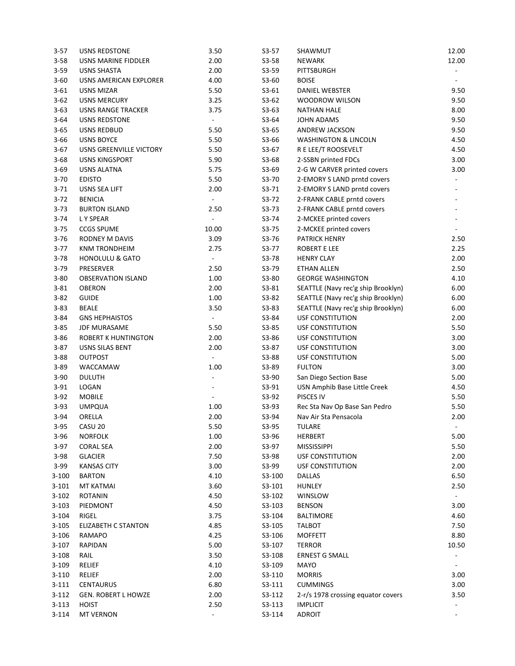| $3 - 57$             | <b>USNS REDSTONE</b>           | 3.50                     | $S3-57$          | SHAWMUT                            | 12.00                    |
|----------------------|--------------------------------|--------------------------|------------------|------------------------------------|--------------------------|
| $3 - 58$             | USNS MARINE FIDDLER            | 2.00                     | $S3-58$          | <b>NEWARK</b>                      | 12.00                    |
| $3 - 59$             | <b>USNS SHASTA</b>             | 2.00                     | $S3-59$          | PITTSBURGH                         |                          |
| $3 - 60$             | USNS AMERICAN EXPLORER         | 4.00                     | $S3-60$          | <b>BOISE</b>                       |                          |
| $3 - 61$             | USNS MIZAR                     | 5.50                     | $S3-61$          | DANIEL WEBSTER                     | 9.50                     |
| $3 - 62$             | <b>USNS MERCURY</b>            | 3.25                     | $S3-62$          | WOODROW WILSON                     | 9.50                     |
| $3 - 63$             | USNS RANGE TRACKER             | 3.75                     | $S3-63$          | <b>NATHAN HALE</b>                 | 8.00                     |
| $3 - 64$             | <b>USNS REDSTONE</b>           | ÷.                       | S3-64            | <b>JOHN ADAMS</b>                  | 9.50                     |
| $3 - 65$             | <b>USNS REDBUD</b>             | 5.50                     | $S3-65$          | <b>ANDREW JACKSON</b>              | 9.50                     |
| $3 - 66$             | <b>USNS BOYCE</b>              | 5.50                     | $S3-66$          | <b>WASHINGTON &amp; LINCOLN</b>    | 4.50                     |
| $3-67$               | <b>USNS GREENVILLE VICTORY</b> | 5.50                     | $S3-67$          | R E LEE/T ROOSEVELT                | 4.50                     |
| $3 - 68$             | <b>USNS KINGSPORT</b>          | 5.90                     | $S3-68$          | 2-SSBN printed FDCs                | 3.00                     |
| $3 - 69$             | <b>USNS ALATNA</b>             | 5.75                     | $S3-69$          | 2-G W CARVER printed covers        | 3.00                     |
| $3 - 70$             | <b>EDISTO</b>                  | 5.50                     | S3-70            | 2-EMORY S LAND prntd covers        |                          |
| $3 - 71$             | USNS SEA LIFT                  | 2.00                     | $S3-71$          | 2-EMORY S LAND prntd covers        |                          |
| $3 - 72$             | <b>BENICIA</b>                 | $\Box$                   | $S3-72$          | 2-FRANK CABLE prntd covers         |                          |
| $3 - 73$             | <b>BURTON ISLAND</b>           | 2.50                     | $S3-73$          | 2-FRANK CABLE prntd covers         |                          |
| $3 - 74$             | L Y SPEAR                      | $\overline{\phantom{a}}$ | $S3-74$          | 2-MCKEE printed covers             |                          |
| $3 - 75$             | <b>CCGS SPUME</b>              | 10.00                    | $S3-75$          | 2-MCKEE printed covers             |                          |
| $3 - 76$             | <b>RODNEY M DAVIS</b>          | 3.09                     | S3-76            | PATRICK HENRY                      | 2.50                     |
| $3-77$               | <b>KNM TRONDHEIM</b>           | 2.75                     | $S3-77$          | <b>ROBERT E LEE</b>                | 2.25                     |
| $3 - 78$             | <b>HONOLULU &amp; GATO</b>     | $\overline{\phantom{a}}$ | S3-78            | <b>HENRY CLAY</b>                  | 2.00                     |
| $3 - 79$             | PRESERVER                      | 2.50                     | S3-79            | ETHAN ALLEN                        | 2.50                     |
| $3 - 80$             | <b>OBSERVATION ISLAND</b>      | 1.00                     | S3-80            | <b>GEORGE WASHINGTON</b>           | 4.10                     |
| $3 - 81$             | <b>OBERON</b>                  | 2.00                     | $S3-81$          | SEATTLE (Navy rec'g ship Brooklyn) | 6.00                     |
| $3 - 82$             | <b>GUIDE</b>                   | 1.00                     | $S3-82$          |                                    | 6.00                     |
| $3 - 83$             |                                | 3.50                     | $S3-83$          | SEATTLE (Navy rec'g ship Brooklyn) | 6.00                     |
|                      | <b>BEALE</b>                   | $\overline{\phantom{a}}$ |                  | SEATTLE (Navy rec'g ship Brooklyn) |                          |
| $3 - 84$<br>$3 - 85$ | <b>GNS HEPHAISTOS</b>          | 5.50                     | S3-84<br>$S3-85$ | <b>USF CONSTITUTION</b>            | 2.00<br>5.50             |
|                      | <b>JDF MURASAME</b>            |                          |                  | USF CONSTITUTION                   |                          |
| $3 - 86$             | ROBERT K HUNTINGTON            | 2.00                     | S3-86            | USF CONSTITUTION                   | 3.00                     |
| $3 - 87$             | USNS SILAS BENT                | 2.00                     | $S3-87$          | <b>USF CONSTITUTION</b>            | 3.00                     |
| $3 - 88$             | <b>OUTPOST</b>                 | $\overline{\phantom{a}}$ | S3-88            | <b>USF CONSTITUTION</b>            | 5.00                     |
| $3 - 89$             | WACCAMAW                       | 1.00                     | S3-89            | <b>FULTON</b>                      | 3.00                     |
| $3 - 90$             | <b>DULUTH</b>                  | $\blacksquare$           | S3-90            | San Diego Section Base             | 5.00                     |
| $3 - 91$             | LOGAN                          | $\overline{\phantom{a}}$ | $S3-91$          | USN Amphib Base Little Creek       | 4.50                     |
| $3 - 92$             | <b>MOBILE</b>                  | $\overline{\phantom{a}}$ | $S3-92$          | PISCES IV                          | 5.50                     |
| $3 - 93$             | <b>UMPQUA</b>                  | 1.00                     | $S3-93$          | Rec Sta Nav Op Base San Pedro      | 5.50                     |
| $3 - 94$             | ORELLA                         | 2.00                     | S3-94            | Nav Air Sta Pensacola              | 2.00                     |
| $3 - 95$             | CASU 20                        | 5.50                     | S3-95            | <b>TULARE</b>                      | $\overline{\phantom{a}}$ |
| $3 - 96$             | <b>NORFOLK</b>                 | 1.00                     | S3-96            | HERBERT                            | 5.00                     |
| $3-97$               | <b>CORAL SEA</b>               | 2.00                     | S3-97            | <b>MISSISSIPPI</b>                 | 5.50                     |
| $3 - 98$             | <b>GLACIER</b>                 | 7.50                     | S3-98            | <b>USF CONSTITUTION</b>            | 2.00                     |
| $3 - 99$             | <b>KANSAS CITY</b>             | 3.00                     | S3-99            | <b>USF CONSTITUTION</b>            | 2.00                     |
| $3 - 100$            | <b>BARTON</b>                  | 4.10                     | S3-100           | <b>DALLAS</b>                      | 6.50                     |
| $3 - 101$            | <b>MT KATMAI</b>               | 3.60                     | S3-101           | <b>HUNLEY</b>                      | 2.50                     |
| $3 - 102$            | <b>ROTANIN</b>                 | 4.50                     | S3-102           | WINSLOW                            |                          |
| $3 - 103$            | PIEDMONT                       | 4.50                     | S3-103           | <b>BENSON</b>                      | 3.00                     |
| $3 - 104$            | RIGEL                          | 3.75                     | S3-104           | BALTIMORE                          | 4.60                     |
| $3 - 105$            | <b>ELIZABETH C STANTON</b>     | 4.85                     | S3-105           | <b>TALBOT</b>                      | 7.50                     |
| 3-106                | RAMAPO                         | 4.25                     | S3-106           | <b>MOFFETT</b>                     | 8.80                     |
| $3-107$              | RAPIDAN                        | 5.00                     | S3-107           | <b>TERROR</b>                      | 10.50                    |
| $3 - 108$            | RAIL                           | 3.50                     | S3-108           | <b>ERNEST G SMALL</b>              |                          |
| $3 - 109$            | RELIEF                         | 4.10                     | S3-109           | <b>MAYO</b>                        |                          |
| $3 - 110$            | RELIEF                         | 2.00                     | S3-110           | <b>MORRIS</b>                      | 3.00                     |
| $3 - 111$            | <b>CENTAURUS</b>               | 6.80                     | S3-111           | <b>CUMMINGS</b>                    | 3.00                     |
| $3 - 112$            | <b>GEN. ROBERT L HOWZE</b>     | 2.00                     | S3-112           | 2-r/s 1978 crossing equator covers | 3.50                     |
| $3 - 113$            | <b>HOIST</b>                   | 2.50                     | S3-113           | <b>IMPLICIT</b>                    |                          |
| $3 - 114$            | <b>MT VERNON</b>               | $\overline{\phantom{a}}$ | S3-114           | <b>ADROIT</b>                      |                          |